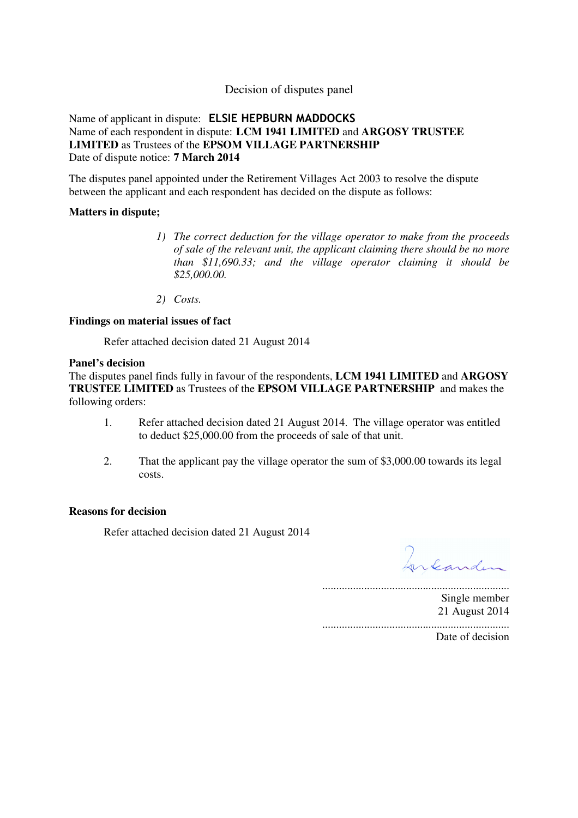### Decision of disputes panel

Name of applicant in dispute: ELSIE HEPBURN MADDOCKS Name of each respondent in dispute: **LCM 1941 LIMITED** and **ARGOSY TRUSTEE LIMITED** as Trustees of the **EPSOM VILLAGE PARTNERSHIP**  Date of dispute notice: **7 March 2014**

The disputes panel appointed under the Retirement Villages Act 2003 to resolve the dispute between the applicant and each respondent has decided on the dispute as follows:

### **Matters in dispute;**

- *1) The correct deduction for the village operator to make from the proceeds of sale of the relevant unit, the applicant claiming there should be no more than \$11,690.33; and the village operator claiming it should be \$25,000.00.*
- *2) Costs.*

#### **Findings on material issues of fact**

Refer attached decision dated 21 August 2014

#### **Panel's decision**

The disputes panel finds fully in favour of the respondents, **LCM 1941 LIMITED** and **ARGOSY TRUSTEE LIMITED** as Trustees of the **EPSOM VILLAGE PARTNERSHIP** and makes the following orders:

- 1. Refer attached decision dated 21 August 2014. The village operator was entitled to deduct \$25,000.00 from the proceeds of sale of that unit.
- 2. That the applicant pay the village operator the sum of \$3,000.00 towards its legal costs.

#### **Reasons for decision**

Refer attached decision dated 21 August 2014

Integriden

................................................................... Single member 21 August 2014 ...................................................................

Date of decision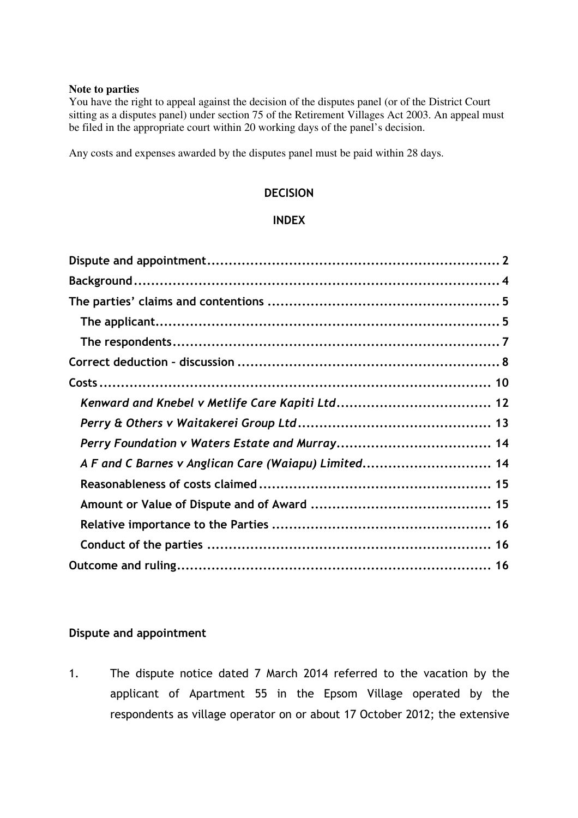### **Note to parties**

You have the right to appeal against the decision of the disputes panel (or of the District Court sitting as a disputes panel) under section 75 of the Retirement Villages Act 2003. An appeal must be filed in the appropriate court within 20 working days of the panel's decision.

Any costs and expenses awarded by the disputes panel must be paid within 28 days.

## **DECISION**

### INDEX

| A F and C Barnes v Anglican Care (Waiapu) Limited 14 |  |
|------------------------------------------------------|--|
|                                                      |  |
|                                                      |  |
|                                                      |  |
|                                                      |  |
|                                                      |  |

### Dispute and appointment

1. The dispute notice dated 7 March 2014 referred to the vacation by the applicant of Apartment 55 in the Epsom Village operated by the respondents as village operator on or about 17 October 2012; the extensive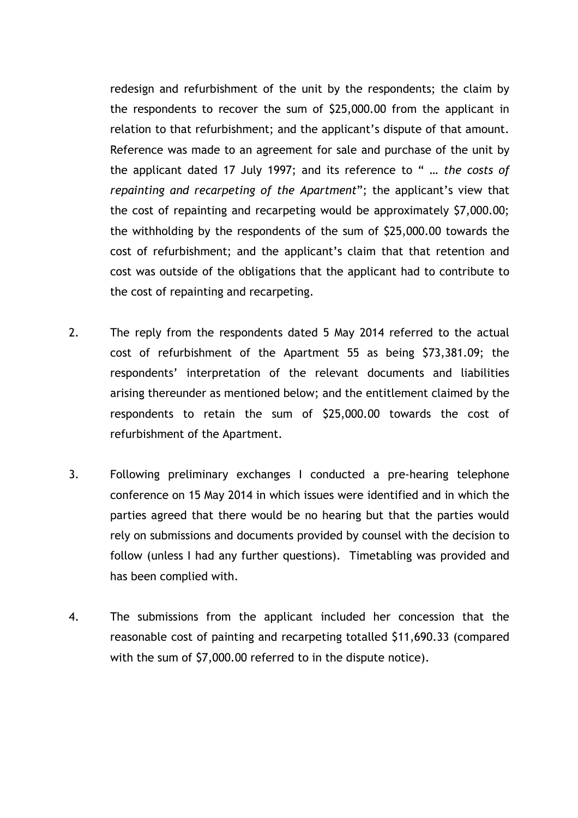redesign and refurbishment of the unit by the respondents; the claim by the respondents to recover the sum of \$25,000.00 from the applicant in relation to that refurbishment; and the applicant's dispute of that amount. Reference was made to an agreement for sale and purchase of the unit by the applicant dated 17 July 1997; and its reference to " … the costs of repainting and recarpeting of the Apartment"; the applicant's view that the cost of repainting and recarpeting would be approximately \$7,000.00; the withholding by the respondents of the sum of \$25,000.00 towards the cost of refurbishment; and the applicant's claim that that retention and cost was outside of the obligations that the applicant had to contribute to the cost of repainting and recarpeting.

- 2. The reply from the respondents dated 5 May 2014 referred to the actual cost of refurbishment of the Apartment 55 as being \$73,381.09; the respondents' interpretation of the relevant documents and liabilities arising thereunder as mentioned below; and the entitlement claimed by the respondents to retain the sum of \$25,000.00 towards the cost of refurbishment of the Apartment.
- 3. Following preliminary exchanges I conducted a pre-hearing telephone conference on 15 May 2014 in which issues were identified and in which the parties agreed that there would be no hearing but that the parties would rely on submissions and documents provided by counsel with the decision to follow (unless I had any further questions). Timetabling was provided and has been complied with.
- 4. The submissions from the applicant included her concession that the reasonable cost of painting and recarpeting totalled \$11,690.33 (compared with the sum of \$7,000.00 referred to in the dispute notice).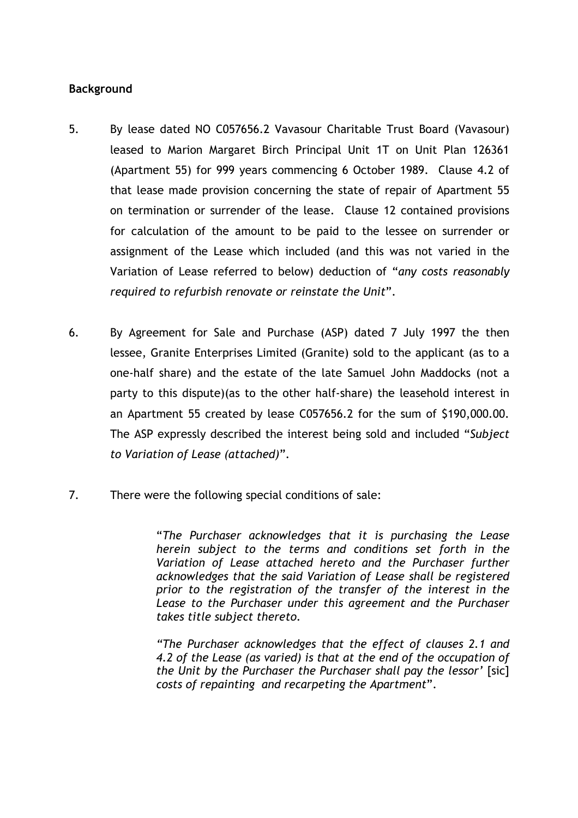## Background

- 5. By lease dated NO C057656.2 Vavasour Charitable Trust Board (Vavasour) leased to Marion Margaret Birch Principal Unit 1T on Unit Plan 126361 (Apartment 55) for 999 years commencing 6 October 1989. Clause 4.2 of that lease made provision concerning the state of repair of Apartment 55 on termination or surrender of the lease. Clause 12 contained provisions for calculation of the amount to be paid to the lessee on surrender or assignment of the Lease which included (and this was not varied in the Variation of Lease referred to below) deduction of "any costs reasonably required to refurbish renovate or reinstate the Unit".
- 6. By Agreement for Sale and Purchase (ASP) dated 7 July 1997 the then lessee, Granite Enterprises Limited (Granite) sold to the applicant (as to a one-half share) and the estate of the late Samuel John Maddocks (not a party to this dispute)(as to the other half-share) the leasehold interest in an Apartment 55 created by lease C057656.2 for the sum of \$190,000.00. The ASP expressly described the interest being sold and included "Subject to Variation of Lease (attached)".
- 7. There were the following special conditions of sale:

"The Purchaser acknowledges that it is purchasing the Lease herein subject to the terms and conditions set forth in the Variation of Lease attached hereto and the Purchaser further acknowledges that the said Variation of Lease shall be registered prior to the registration of the transfer of the interest in the Lease to the Purchaser under this agreement and the Purchaser takes title subject thereto.

"The Purchaser acknowledges that the effect of clauses 2.1 and 4.2 of the Lease (as varied) is that at the end of the occupation of the Unit by the Purchaser the Purchaser shall pay the lessor' [sic] costs of repainting and recarpeting the Apartment".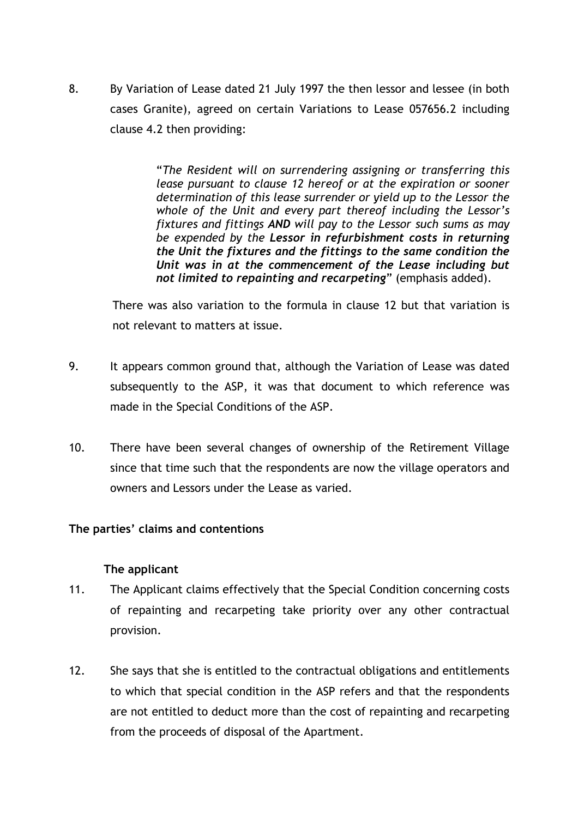8. By Variation of Lease dated 21 July 1997 the then lessor and lessee (in both cases Granite), agreed on certain Variations to Lease 057656.2 including clause 4.2 then providing:

> "The Resident will on surrendering assigning or transferring this lease pursuant to clause 12 hereof or at the expiration or sooner determination of this lease surrender or yield up to the Lessor the whole of the Unit and every part thereof including the Lessor's fixtures and fittings AND will pay to the Lessor such sums as may be expended by the Lessor in refurbishment costs in returning the Unit the fixtures and the fittings to the same condition the Unit was in at the commencement of the Lease including but not limited to repainting and recarpeting" (emphasis added).

There was also variation to the formula in clause 12 but that variation is not relevant to matters at issue.

- 9. It appears common ground that, although the Variation of Lease was dated subsequently to the ASP, it was that document to which reference was made in the Special Conditions of the ASP.
- 10. There have been several changes of ownership of the Retirement Village since that time such that the respondents are now the village operators and owners and Lessors under the Lease as varied.

## The parties' claims and contentions

## The applicant

- 11. The Applicant claims effectively that the Special Condition concerning costs of repainting and recarpeting take priority over any other contractual provision.
- 12. She says that she is entitled to the contractual obligations and entitlements to which that special condition in the ASP refers and that the respondents are not entitled to deduct more than the cost of repainting and recarpeting from the proceeds of disposal of the Apartment.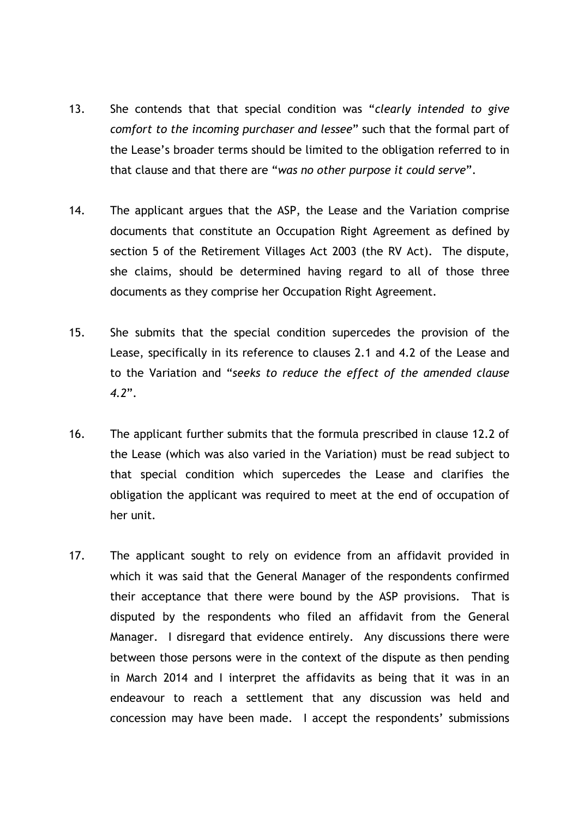- 13. She contends that that special condition was "clearly intended to give comfort to the incoming purchaser and lessee" such that the formal part of the Lease's broader terms should be limited to the obligation referred to in that clause and that there are "was no other purpose it could serve".
- 14. The applicant argues that the ASP, the Lease and the Variation comprise documents that constitute an Occupation Right Agreement as defined by section 5 of the Retirement Villages Act 2003 (the RV Act). The dispute, she claims, should be determined having regard to all of those three documents as they comprise her Occupation Right Agreement.
- 15. She submits that the special condition supercedes the provision of the Lease, specifically in its reference to clauses 2.1 and 4.2 of the Lease and to the Variation and "seeks to reduce the effect of the amended clause 4.2".
- 16. The applicant further submits that the formula prescribed in clause 12.2 of the Lease (which was also varied in the Variation) must be read subject to that special condition which supercedes the Lease and clarifies the obligation the applicant was required to meet at the end of occupation of her unit.
- 17. The applicant sought to rely on evidence from an affidavit provided in which it was said that the General Manager of the respondents confirmed their acceptance that there were bound by the ASP provisions. That is disputed by the respondents who filed an affidavit from the General Manager. I disregard that evidence entirely. Any discussions there were between those persons were in the context of the dispute as then pending in March 2014 and I interpret the affidavits as being that it was in an endeavour to reach a settlement that any discussion was held and concession may have been made. I accept the respondents' submissions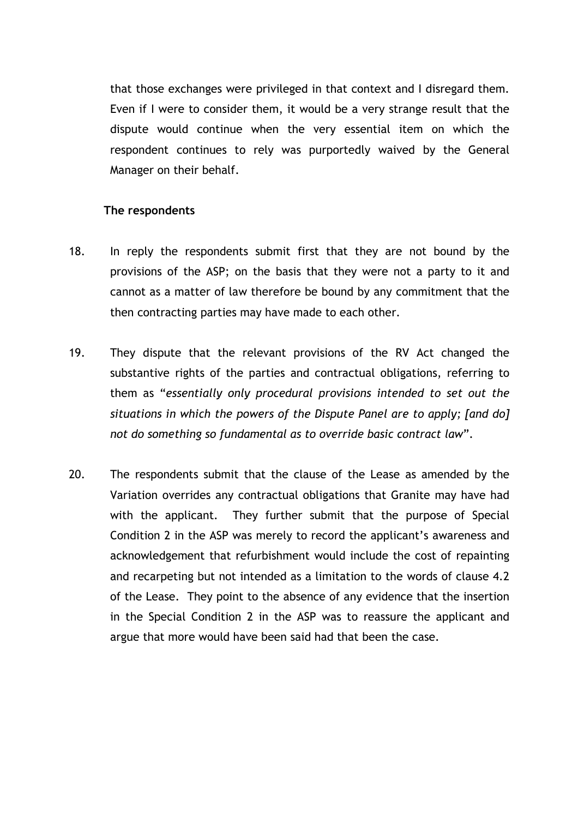that those exchanges were privileged in that context and I disregard them. Even if I were to consider them, it would be a very strange result that the dispute would continue when the very essential item on which the respondent continues to rely was purportedly waived by the General Manager on their behalf.

### The respondents

- 18. In reply the respondents submit first that they are not bound by the provisions of the ASP; on the basis that they were not a party to it and cannot as a matter of law therefore be bound by any commitment that the then contracting parties may have made to each other.
- 19. They dispute that the relevant provisions of the RV Act changed the substantive rights of the parties and contractual obligations, referring to them as "essentially only procedural provisions intended to set out the situations in which the powers of the Dispute Panel are to apply; [and do] not do something so fundamental as to override basic contract law".
- 20. The respondents submit that the clause of the Lease as amended by the Variation overrides any contractual obligations that Granite may have had with the applicant. They further submit that the purpose of Special Condition 2 in the ASP was merely to record the applicant's awareness and acknowledgement that refurbishment would include the cost of repainting and recarpeting but not intended as a limitation to the words of clause 4.2 of the Lease. They point to the absence of any evidence that the insertion in the Special Condition 2 in the ASP was to reassure the applicant and argue that more would have been said had that been the case.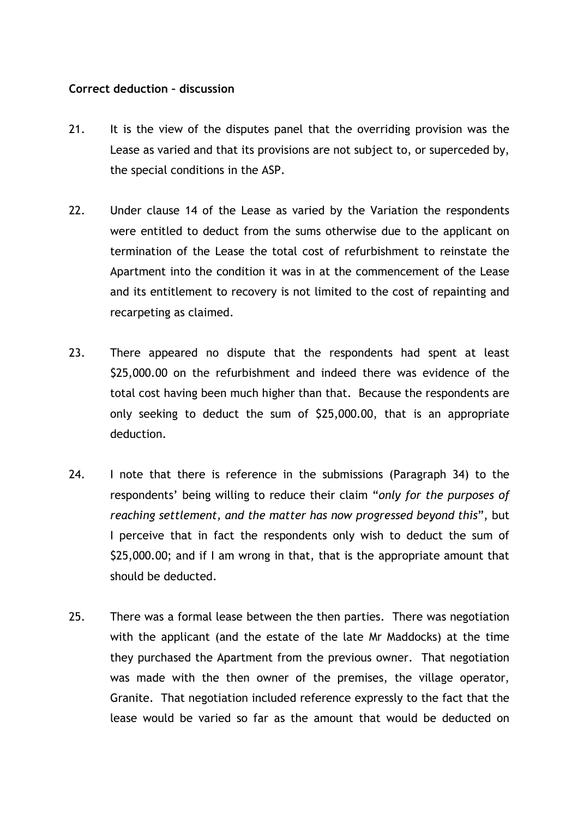## Correct deduction – discussion

- 21. It is the view of the disputes panel that the overriding provision was the Lease as varied and that its provisions are not subject to, or superceded by, the special conditions in the ASP.
- 22. Under clause 14 of the Lease as varied by the Variation the respondents were entitled to deduct from the sums otherwise due to the applicant on termination of the Lease the total cost of refurbishment to reinstate the Apartment into the condition it was in at the commencement of the Lease and its entitlement to recovery is not limited to the cost of repainting and recarpeting as claimed.
- 23. There appeared no dispute that the respondents had spent at least \$25,000.00 on the refurbishment and indeed there was evidence of the total cost having been much higher than that. Because the respondents are only seeking to deduct the sum of \$25,000.00, that is an appropriate deduction.
- 24. I note that there is reference in the submissions (Paragraph 34) to the respondents' being willing to reduce their claim "only for the purposes of reaching settlement, and the matter has now progressed beyond this", but I perceive that in fact the respondents only wish to deduct the sum of \$25,000.00; and if I am wrong in that, that is the appropriate amount that should be deducted.
- 25. There was a formal lease between the then parties. There was negotiation with the applicant (and the estate of the late Mr Maddocks) at the time they purchased the Apartment from the previous owner. That negotiation was made with the then owner of the premises, the village operator, Granite. That negotiation included reference expressly to the fact that the lease would be varied so far as the amount that would be deducted on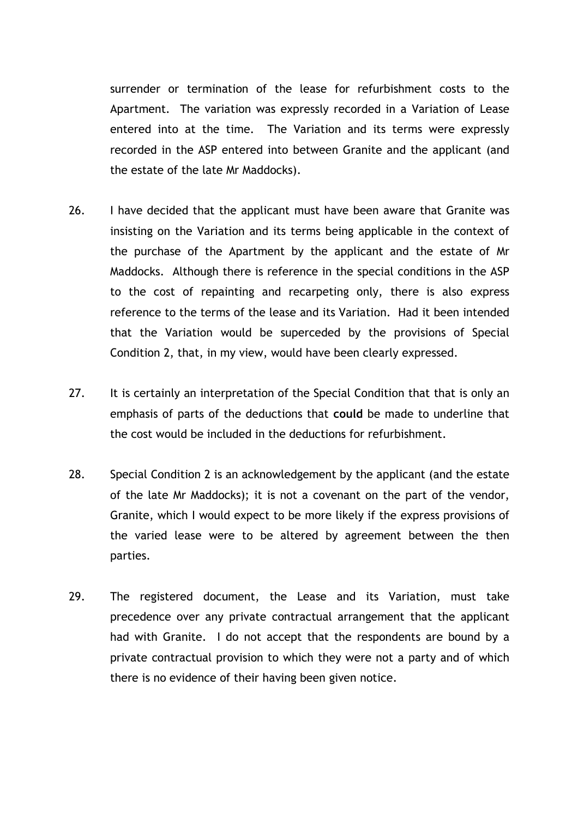surrender or termination of the lease for refurbishment costs to the Apartment. The variation was expressly recorded in a Variation of Lease entered into at the time. The Variation and its terms were expressly recorded in the ASP entered into between Granite and the applicant (and the estate of the late Mr Maddocks).

- 26. I have decided that the applicant must have been aware that Granite was insisting on the Variation and its terms being applicable in the context of the purchase of the Apartment by the applicant and the estate of Mr Maddocks. Although there is reference in the special conditions in the ASP to the cost of repainting and recarpeting only, there is also express reference to the terms of the lease and its Variation. Had it been intended that the Variation would be superceded by the provisions of Special Condition 2, that, in my view, would have been clearly expressed.
- 27. It is certainly an interpretation of the Special Condition that that is only an emphasis of parts of the deductions that could be made to underline that the cost would be included in the deductions for refurbishment.
- 28. Special Condition 2 is an acknowledgement by the applicant (and the estate of the late Mr Maddocks); it is not a covenant on the part of the vendor, Granite, which I would expect to be more likely if the express provisions of the varied lease were to be altered by agreement between the then parties.
- 29. The registered document, the Lease and its Variation, must take precedence over any private contractual arrangement that the applicant had with Granite. I do not accept that the respondents are bound by a private contractual provision to which they were not a party and of which there is no evidence of their having been given notice.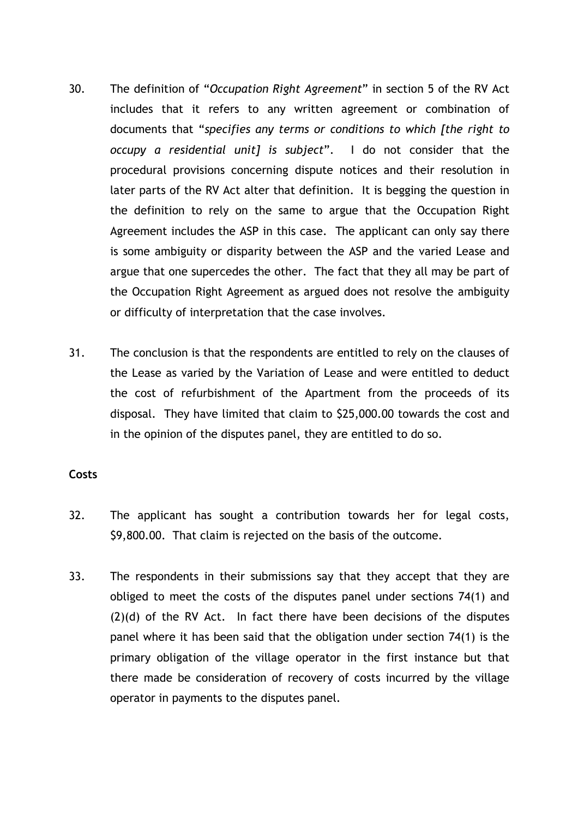- 30. The definition of "Occupation Right Agreement" in section 5 of the RV Act includes that it refers to any written agreement or combination of documents that "specifies any terms or conditions to which [the right to occupy a residential unit] is subject". I do not consider that the procedural provisions concerning dispute notices and their resolution in later parts of the RV Act alter that definition. It is begging the question in the definition to rely on the same to argue that the Occupation Right Agreement includes the ASP in this case. The applicant can only say there is some ambiguity or disparity between the ASP and the varied Lease and argue that one supercedes the other. The fact that they all may be part of the Occupation Right Agreement as argued does not resolve the ambiguity or difficulty of interpretation that the case involves.
- 31. The conclusion is that the respondents are entitled to rely on the clauses of the Lease as varied by the Variation of Lease and were entitled to deduct the cost of refurbishment of the Apartment from the proceeds of its disposal. They have limited that claim to \$25,000.00 towards the cost and in the opinion of the disputes panel, they are entitled to do so.

## **Costs**

- 32. The applicant has sought a contribution towards her for legal costs, \$9,800.00. That claim is rejected on the basis of the outcome.
- 33. The respondents in their submissions say that they accept that they are obliged to meet the costs of the disputes panel under sections 74(1) and (2)(d) of the RV Act. In fact there have been decisions of the disputes panel where it has been said that the obligation under section 74(1) is the primary obligation of the village operator in the first instance but that there made be consideration of recovery of costs incurred by the village operator in payments to the disputes panel.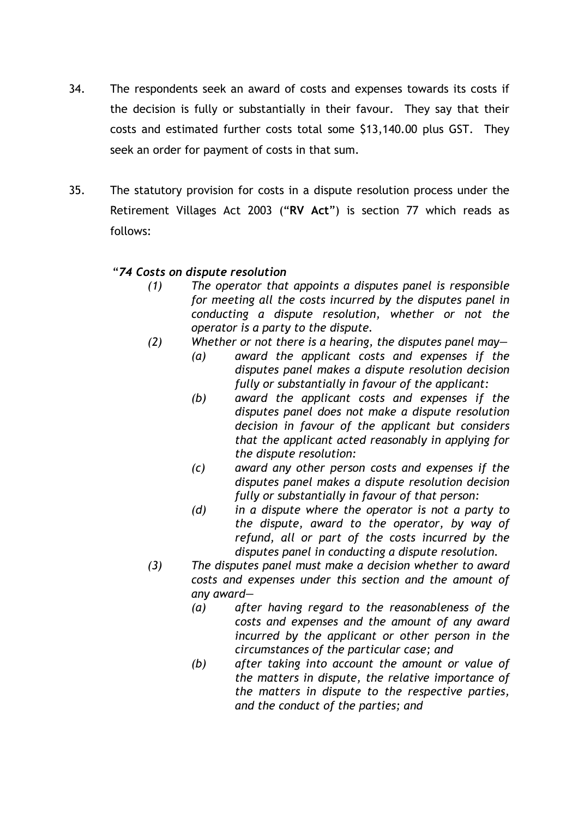- 34. The respondents seek an award of costs and expenses towards its costs if the decision is fully or substantially in their favour. They say that their costs and estimated further costs total some \$13,140.00 plus GST. They seek an order for payment of costs in that sum.
- 35. The statutory provision for costs in a dispute resolution process under the Retirement Villages Act 2003 ("RV Act") is section 77 which reads as follows:

## "74 Costs on dispute resolution

- (1) The operator that appoints a disputes panel is responsible for meeting all the costs incurred by the disputes panel in conducting a dispute resolution, whether or not the operator is a party to the dispute.
- (2) Whether or not there is a hearing, the disputes panel may—
	- (a) award the applicant costs and expenses if the disputes panel makes a dispute resolution decision fully or substantially in favour of the applicant:
	- (b) award the applicant costs and expenses if the disputes panel does not make a dispute resolution decision in favour of the applicant but considers that the applicant acted reasonably in applying for the dispute resolution:
	- (c) award any other person costs and expenses if the disputes panel makes a dispute resolution decision fully or substantially in favour of that person:
	- (d) in a dispute where the operator is not a party to the dispute, award to the operator, by way of refund, all or part of the costs incurred by the disputes panel in conducting a dispute resolution.
- (3) The disputes panel must make a decision whether to award costs and expenses under this section and the amount of any award—
	- (a) after having regard to the reasonableness of the costs and expenses and the amount of any award incurred by the applicant or other person in the circumstances of the particular case; and
	- (b) after taking into account the amount or value of the matters in dispute, the relative importance of the matters in dispute to the respective parties, and the conduct of the parties; and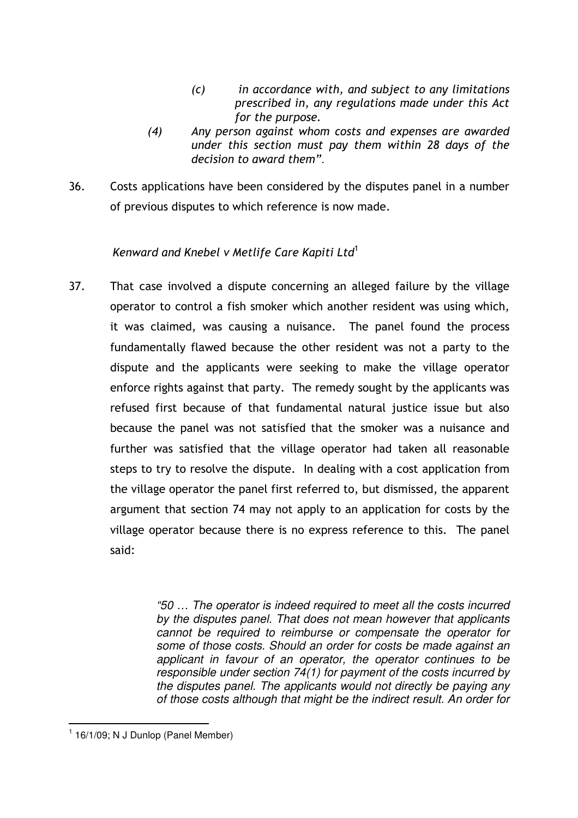- (c) in accordance with, and subject to any limitations prescribed in, any regulations made under this Act for the purpose.
- (4) Any person against whom costs and expenses are awarded under this section must pay them within 28 days of the decision to award them".
- 36. Costs applications have been considered by the disputes panel in a number of previous disputes to which reference is now made.

# Kenward and Knebel v Metlife Care Kapiti Ltd<sup>1</sup>

37. That case involved a dispute concerning an alleged failure by the village operator to control a fish smoker which another resident was using which, it was claimed, was causing a nuisance. The panel found the process fundamentally flawed because the other resident was not a party to the dispute and the applicants were seeking to make the village operator enforce rights against that party. The remedy sought by the applicants was refused first because of that fundamental natural justice issue but also because the panel was not satisfied that the smoker was a nuisance and further was satisfied that the village operator had taken all reasonable steps to try to resolve the dispute. In dealing with a cost application from the village operator the panel first referred to, but dismissed, the apparent argument that section 74 may not apply to an application for costs by the village operator because there is no express reference to this. The panel said:

> "50 … The operator is indeed required to meet all the costs incurred by the disputes panel. That does not mean however that applicants cannot be required to reimburse or compensate the operator for some of those costs. Should an order for costs be made against an applicant in favour of an operator, the operator continues to be responsible under section 74(1) for payment of the costs incurred by the disputes panel. The applicants would not directly be paying any of those costs although that might be the indirect result. An order for

 $\overline{a}$ 

 $1$  16/1/09; N J Dunlop (Panel Member)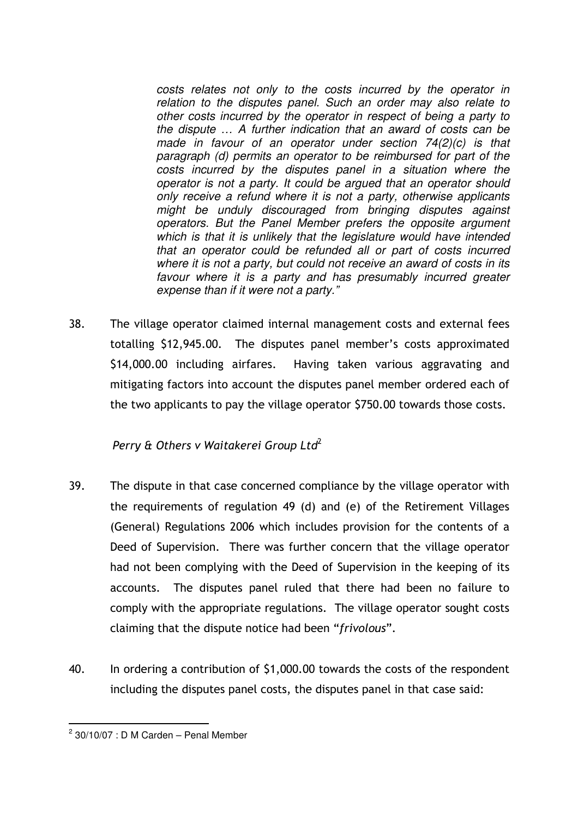costs relates not only to the costs incurred by the operator in relation to the disputes panel. Such an order may also relate to other costs incurred by the operator in respect of being a party to the dispute … A further indication that an award of costs can be made in favour of an operator under section 74(2)(c) is that paragraph (d) permits an operator to be reimbursed for part of the costs incurred by the disputes panel in a situation where the operator is not a party. It could be argued that an operator should only receive a refund where it is not a party, otherwise applicants might be unduly discouraged from bringing disputes against operators. But the Panel Member prefers the opposite argument which is that it is unlikely that the legislature would have intended that an operator could be refunded all or part of costs incurred where it is not a party, but could not receive an award of costs in its favour where it is a party and has presumably incurred greater expense than if it were not a party."

38. The village operator claimed internal management costs and external fees totalling \$12,945.00. The disputes panel member's costs approximated \$14,000.00 including airfares. Having taken various aggravating and mitigating factors into account the disputes panel member ordered each of the two applicants to pay the village operator \$750.00 towards those costs.

# Perry & Others v Waitakerei Group Ltd<sup>2</sup>

- 39. The dispute in that case concerned compliance by the village operator with the requirements of regulation 49 (d) and (e) of the Retirement Villages (General) Regulations 2006 which includes provision for the contents of a Deed of Supervision. There was further concern that the village operator had not been complying with the Deed of Supervision in the keeping of its accounts. The disputes panel ruled that there had been no failure to comply with the appropriate regulations. The village operator sought costs claiming that the dispute notice had been "frivolous".
- 40. In ordering a contribution of \$1,000.00 towards the costs of the respondent including the disputes panel costs, the disputes panel in that case said:

 $\overline{a}$  $2$  30/10/07 : D M Carden – Penal Member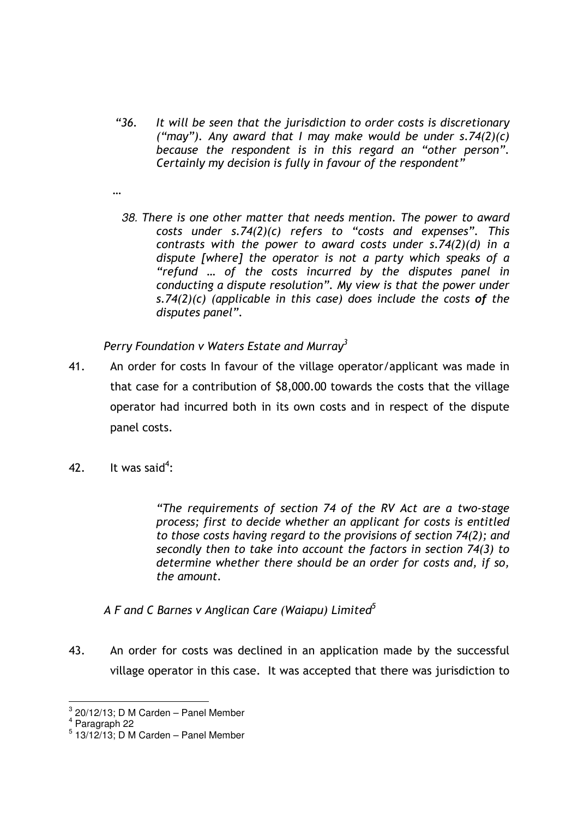- "36. It will be seen that the jurisdiction to order costs is discretionary ("may"). Any award that I may make would be under  $s.74(2)(c)$ because the respondent is in this regard an "other person". Certainly my decision is fully in favour of the respondent"
- …
	- 38. There is one other matter that needs mention. The power to award costs under s.74(2)(c) refers to "costs and expenses". This contrasts with the power to award costs under s.74(2)(d) in a dispute [where] the operator is not a party which speaks of a "refund … of the costs incurred by the disputes panel in conducting a dispute resolution". My view is that the power under s.74(2)(c) (applicable in this case) does include the costs of the disputes panel".

Perry Foundation  $v$  Waters Estate and Murray<sup>3</sup>

- 41. An order for costs In favour of the village operator/applicant was made in that case for a contribution of \$8,000.00 towards the costs that the village operator had incurred both in its own costs and in respect of the dispute panel costs.
- 42. It was said<sup>4</sup>:

"The requirements of section 74 of the RV Act are a two-stage process; first to decide whether an applicant for costs is entitled to those costs having regard to the provisions of section 74(2); and secondly then to take into account the factors in section 74(3) to determine whether there should be an order for costs and, if so, the amount.

A F and C Barnes v Anglican Care (Waiapu) Limited $^5$ 

43. An order for costs was declined in an application made by the successful village operator in this case. It was accepted that there was jurisdiction to

 3 20/12/13; D M Carden – Panel Member

<sup>4</sup> Paragraph 22

 $<sup>5</sup>$  13/12/13; D M Carden – Panel Member</sup>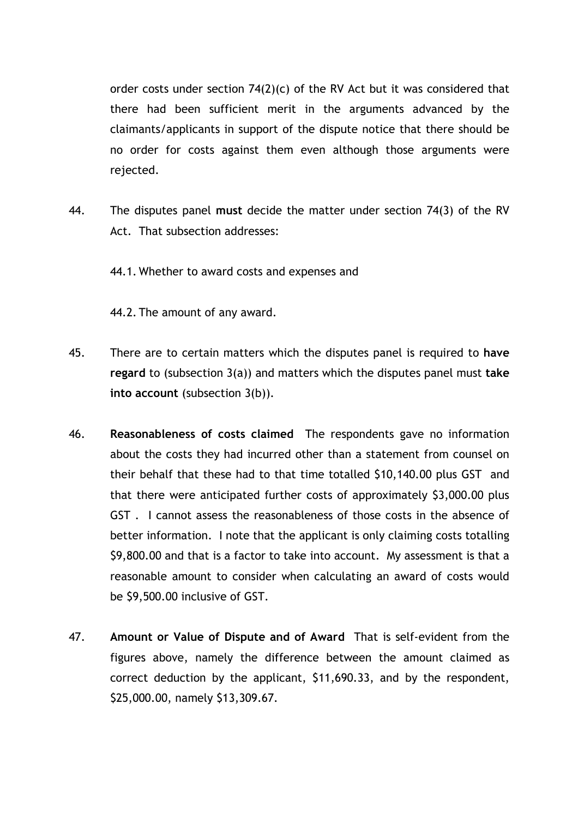order costs under section 74(2)(c) of the RV Act but it was considered that there had been sufficient merit in the arguments advanced by the claimants/applicants in support of the dispute notice that there should be no order for costs against them even although those arguments were rejected.

44. The disputes panel must decide the matter under section 74(3) of the RV Act. That subsection addresses:

44.1. Whether to award costs and expenses and

44.2. The amount of any award.

- 45. There are to certain matters which the disputes panel is required to have regard to (subsection  $3(a)$ ) and matters which the disputes panel must take into account (subsection 3(b)).
- 46. Reasonableness of costs claimed The respondents gave no information about the costs they had incurred other than a statement from counsel on their behalf that these had to that time totalled \$10,140.00 plus GST and that there were anticipated further costs of approximately \$3,000.00 plus GST . I cannot assess the reasonableness of those costs in the absence of better information. I note that the applicant is only claiming costs totalling \$9,800.00 and that is a factor to take into account. My assessment is that a reasonable amount to consider when calculating an award of costs would be \$9,500.00 inclusive of GST.
- 47. Amount or Value of Dispute and of Award That is self-evident from the figures above, namely the difference between the amount claimed as correct deduction by the applicant, \$11,690.33, and by the respondent, \$25,000.00, namely \$13,309.67.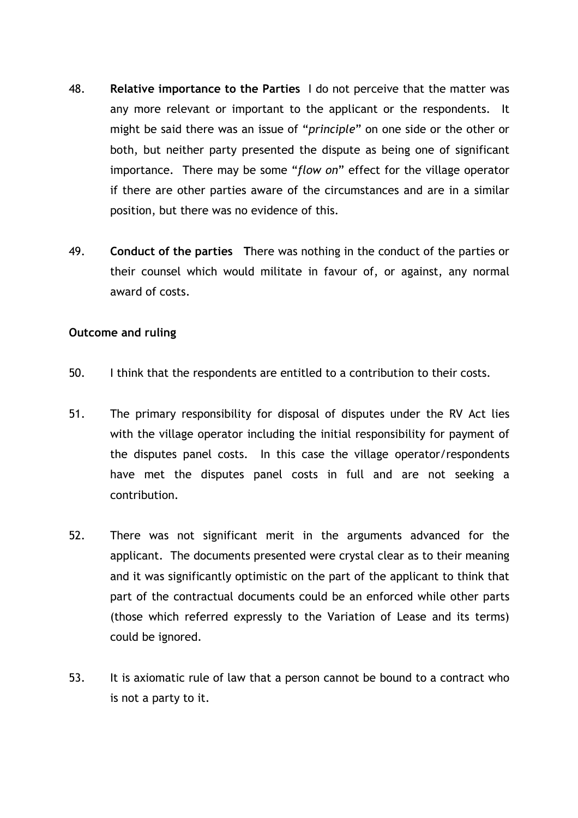- 48. Relative importance to the Parties I do not perceive that the matter was any more relevant or important to the applicant or the respondents. It might be said there was an issue of "principle" on one side or the other or both, but neither party presented the dispute as being one of significant importance. There may be some "flow on" effect for the village operator if there are other parties aware of the circumstances and are in a similar position, but there was no evidence of this.
- 49. Conduct of the parties There was nothing in the conduct of the parties or their counsel which would militate in favour of, or against, any normal award of costs.

## Outcome and ruling

- 50. I think that the respondents are entitled to a contribution to their costs.
- 51. The primary responsibility for disposal of disputes under the RV Act lies with the village operator including the initial responsibility for payment of the disputes panel costs. In this case the village operator/respondents have met the disputes panel costs in full and are not seeking a contribution.
- 52. There was not significant merit in the arguments advanced for the applicant. The documents presented were crystal clear as to their meaning and it was significantly optimistic on the part of the applicant to think that part of the contractual documents could be an enforced while other parts (those which referred expressly to the Variation of Lease and its terms) could be ignored.
- 53. It is axiomatic rule of law that a person cannot be bound to a contract who is not a party to it.